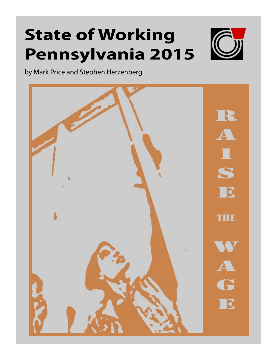# **State of Working Pennsylvania 2015**



by Mark Price and Stephen Herzenberg

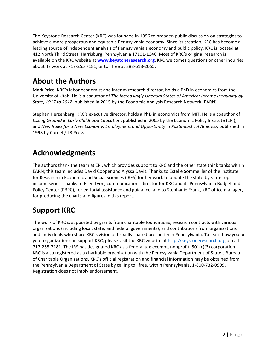The Keystone Research Center (KRC) was founded in 1996 to broaden public discussion on strategies to achieve a more prosperous and equitable Pennsylvania economy. Since its creation, KRC has become a leading source of independent analysis of Pennsylvania's economy and public policy. KRC is located at 412 North Third Street, Harrisburg, Pennsylvania 17101‐1346. Most of KRC's original research is available on the KRC website at **www.keystoneresearch.org**. KRC welcomes questions or other inquiries about its work at 717‐255 7181, or toll free at 888‐618‐2055.

# **About the Authors**

Mark Price, KRC's labor economist and interim research director, holds a PhD in economics from the University of Utah. He is a coauthor of *The Increasingly Unequal States of America: Income Inequality by State, 1917 to 2012*, published in 2015 by the Economic Analysis Research Network (EARN).

Stephen Herzenberg, KRC's executive director, holds a PhD in economics from MIT. He is a coauthor of *Losing Ground in Early Childhood Education*, published in 2005 by the Economic Policy Institute (EPI), and *New Rules for a New Economy: Employment and Opportunity in Postindustrial America*, published in 1998 by Cornell/ILR Press.

# **Acknowledgments**

The authors thank the team at EPI, which provides support to KRC and the other state think tanks within EARN; this team includes David Cooper and Alyssa Davis. Thanks to Estelle Sommeiller of the Institute for Research in Economic and Social Sciences (IRES) for her work to update the state‐by‐state top income series. Thanks to Ellen Lyon, communications director for KRC and its Pennsylvania Budget and Policy Center (PBPC), for editorial assistance and guidance, and to Stephanie Frank, KRC office manager, for producing the charts and figures in this report.

# **Support KRC**

The work of KRC is supported by grants from charitable foundations, research contracts with various organizations (including local, state, and federal governments), and contributions from organizations and individuals who share KRC's vision of broadly shared prosperity in Pennsylvania. To learn how you or your organization can support KRC, please visit the KRC website at http://keystoneresearch.org or call 717‐255‐7181. The IRS has designated KRC as a federal tax‐exempt, nonprofit, 501(c)(3) corporation. KRC is also registered as a charitable organization with the Pennsylvania Department of State's Bureau of Charitable Organizations. KRC's official registration and financial information may be obtained from the Pennsylvania Department of State by calling toll free, within Pennsylvania, 1‐800‐732‐0999. Registration does not imply endorsement.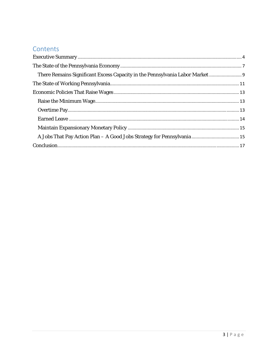## Contents

| There Remains Significant Excess Capacity in the Pennsylvania Labor Market |  |
|----------------------------------------------------------------------------|--|
|                                                                            |  |
|                                                                            |  |
|                                                                            |  |
|                                                                            |  |
|                                                                            |  |
|                                                                            |  |
|                                                                            |  |
|                                                                            |  |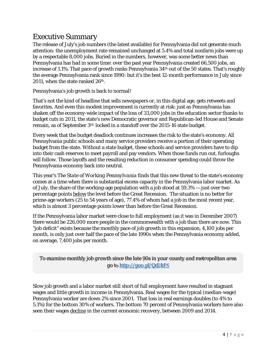## Executive Summary

The release of July's job numbers (the latest available) for Pennsylvania did not generate much attention: the unemployment rate remained unchanged at 5.4% and total nonfarm jobs were up by a respectable 8,000 jobs. Buried in the numbers, however, was some better news than Pennsylvania has had in some time: over the past year Pennsylvania created 66,500 jobs, an increase of 1.1%. That pace of growth ranks Pennsylvania 34<sup>th</sup> out of the 50 states. That's roughly the average Pennsylvania rank since 1990: but it's the best 12-month performance in July since 2011, when the state ranked 26<sup>th</sup>.

Pennsylvania's job growth is back to normal!

That's not the kind of headline that sells newspapers or, in this digital age, gets retweets and favorites. And even this modest improvement is currently at risk: just as Pennsylvania has shaken off the economy-wide impact of the loss of 33,000 jobs in the education sector thanks to budget cuts in 2011, the state's new Democratic governor and Republican-led House and Senate remain, as of September 3rd, locked in a standoff over the 2015-16 state budget.

Every week that the budget deadlock continues increases the risk to the state's economy. All Pennsylvania public schools and many service providers receive a portion of their operating budget from the state. Without a state budget, these schools and service providers have to dip into their cash reserves to meet payroll and pay vendors. When those funds run out, furloughs will follow. Those layoffs and the resulting reduction in consumer spending could throw the Pennsylvania economy back into neutral.

This year's *The State of Working Pennsylvania* finds that this new threat to the state's economy comes at a time when there is substantial excess capacity in the Pennsylvania labor market. As of July, the share of the working-age population with a job stood at 59.3% — just over two percentage points below the level before the Great Recession. The situation is no better for prime-age workers (25 to 54 years of age), 77.4% of whom had a job in the most recent year, which is almost 3 percentage points lower than before the Great Recession.

If the Pennsylvania labor market were close to full employment (as it was in December 2007) there would be 226,000 more people in the commonwealth with a job than there are now. This "job deficit" exists because the monthly pace of job growth in this expansion, 4,100 jobs per month, is only just over half the pace of the late 1990s when the Pennsylvania economy added, on average, 7,400 jobs per month.

*To examine monthly job growth since the late 90s in your county and metropolitan area go to http://goo.gl/QdJkFS* 

Slow job growth and a labor market still short of full employment have resulted in stagnant wages and little growth in income in Pennsylvania. Real wages for the typical (median-wage) Pennsylvania worker are down 2% since 2001. That loss in real earnings doubles (to 4% to 5.1%) for the bottom 30% of workers. The bottom 70 percent of Pennsylvania workers have also seen their wages decline in the current economic recovery, between 2009 and 2014.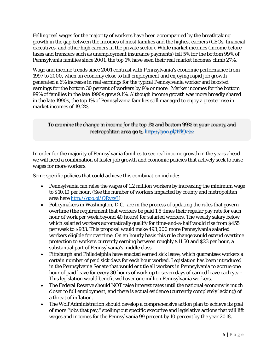Falling real wages for the majority of workers have been accompanied by the breathtaking growth in the gap between the incomes of most families and the highest earners (CEOs, financial executives, and other high earners in the private sector). While market incomes (income before taxes and transfers such as unemployment insurance payments) fell 5% for the bottom 99% of Pennsylvania families since 2001, the top 1% have seen their real market incomes climb 27%.

Wage and income trends since 2001 contrast with Pennsylvania's economic performance from 1997 to 2000, when an economy close to full employment and enjoying rapid job growth generated a 6% increase in real earnings for the typical Pennsylvania worker and boosted earnings for the bottom 30 percent of workers by 9% or more. Market incomes for the bottom 99% of families in the late 1990s grew 9.1%. Although income growth was more broadly shared in the late 1990s, the top 1% of Pennsylvania families still managed to enjoy a greater rise in market incomes of 19.2%.

*To examine the change in income for the top 1% and bottom 99% in your county and metropolitan area go to http://goo.gl/HlQc42*

In order for the majority of Pennsylvania families to see real income growth in the years ahead we will need a combination of faster job growth and economic policies that actively seek to raise wages for more workers.

Some specific policies that could achieve this combination include:

- Pennsylvania can raise the wages of 1.2 million workers by increasing the minimum wage to \$10.10 per hour. (See the number of workers impacted by county and metropolitan area here http://goo.gl/ORvzvJ)
- Policymakers in Washington, D.C., are in the process of updating the rules that govern overtime (the requirement that workers be paid 1.5 times their regular pay rate for each hour of work per week beyond 40 hours) for salaried workers. The weekly salary below which salaried workers automatically qualify for time-and-a-half would rise from \$455 per week to \$933. This proposal would make 493,000 more Pennsylvania salaried workers eligible for overtime. On an hourly basis this rule change would extend overtime protection to workers currently earning between roughly \$11.50 and \$23 per hour, a substantial part of Pennsylvania's middle class.
- Pittsburgh and Philadelphia have enacted earned sick leave, which guarantees workers a certain number of paid sick days for each hour worked. Legislation has been introduced in the Pennsylvania Senate that would entitle all workers in Pennsylvania to accrue one hour of paid leave for every 30 hours of work up to seven days of earned leave each year. This legislation would benefit well over one million Pennsylvania workers.
- The Federal Reserve should NOT raise interest rates until the national economy is much closer to full employment, and there is actual evidence (currently completely lacking) of a threat of inflation.
- The Wolf Administration should develop a comprehensive action plan to achieve its goal of more "jobs that pay," spelling out specific executive and legislative actions that will lift wages and incomes for the Pennsylvania 99 percent by 10 percent by the year 2018.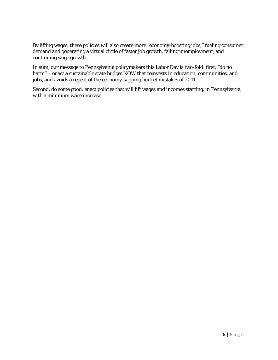By lifting wages, these policies will also create more "economy-boosting jobs," fueling consumer demand and generating a virtual circle of faster job growth, falling unemployment, and continuing wage growth.

In sum, our message to Pennsylvania policymakers this Labor Day is two-fold: first, "do no harm" – enact a sustainable state budget NOW that reinvests in education, communities, and jobs, and avoids a repeat of the economy-sapping budget mistakes of 2011.

Second, do some good: enact policies that will lift wages and incomes starting, in Pennsylvania, with a minimum wage increase.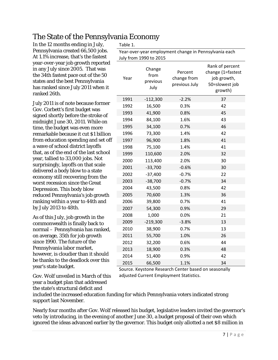## The State of the Pennsylvania Economy

In the 12 months ending in July, Pennsylvania created 66,500 jobs. At 1.1% increase, that's the fastest year-over-year job growth reported in any July since 2005. That was the 34th fastest pace out of the 50 states and the best Pennsylvania has ranked since July 2011 when it ranked 26th.

July 2011 is of note because former Gov. Corbett's first budget was signed shortly before the stroke of midnight June 30, 2011. While on time, the budget was even more remarkable because it cut \$1 billion from education spending and set off a wave of school district layoffs that, as of the end of the last school year, tallied to 33,000 jobs. Not surprisingly, layoffs on that scale delivered a body blow to a state economy still recovering from the worst recession since the Great Depression. This body blow reduced Pennsylvania's job growth ranking within a year to 44th and by July 2013 to 48th.

As of this July, job growth in the commonwealth is finally back to normal – Pennsylvania has ranked, on average, 35th for job growth since 1990. The future of the Pennsylvania labor market, however, is cloudier than it should be thanks to the deadlock over this year's state budget.

Gov. Wolf unveiled in March of this year a budget plan that addressed the state's structural deficit and

Table 1.

Year‐over‐year employment change in Pennsylvania each  $1000 + 2015$ 

|      | JUIV Trom 1990 to 2015             |                                         |                                                                                  |
|------|------------------------------------|-----------------------------------------|----------------------------------------------------------------------------------|
| Year | Change<br>from<br>previous<br>July | Percent<br>change from<br>previous July | Rank of percent<br>change (1=fastest<br>job growth,<br>50=slowest job<br>growth) |
| 1991 | $-112,300$                         | $-2.2%$                                 | 37                                                                               |
| 1992 | 16,500                             | 0.3%                                    | 42                                                                               |
| 1993 | 41,900                             | 0.8%                                    | 45                                                                               |
| 1994 | 84,100                             | 1.6%                                    | 43                                                                               |
| 1995 | 34,100                             | 0.7%                                    | 46                                                                               |
| 1996 | 73,300                             | 1.4%                                    | 42                                                                               |
| 1997 | 96,900                             | 1.8%                                    | 41                                                                               |
| 1998 | 75,100                             | 1.4%                                    | 41                                                                               |
| 1999 | 110,600                            | 2.0%                                    | 32                                                                               |
| 2000 | 113,400                            | 2.0%                                    | 30                                                                               |
| 2001 | $-33,700$                          | $-0.6%$                                 | 30                                                                               |
| 2002 | $-37,400$                          | $-0.7%$                                 | 22                                                                               |
| 2003 | $-38,700$                          | $-0.7%$                                 | 34                                                                               |
| 2004 | 43,500                             | 0.8%                                    | 42                                                                               |
| 2005 | 70,600                             | 1.3%                                    | 36                                                                               |
| 2006 | 39,800                             | 0.7%                                    | 41                                                                               |
| 2007 | 54,300                             | 0.9%                                    | 29                                                                               |
| 2008 | 1,000                              | 0.0%                                    | 21                                                                               |
| 2009 | $-219,300$                         | $-3.8%$                                 | 13                                                                               |
| 2010 | 38,900                             | 0.7%                                    | 13                                                                               |
| 2011 | 55,700                             | 1.0%                                    | 26                                                                               |
| 2012 | 32,200                             | 0.6%                                    | 44                                                                               |
| 2013 | 18,900                             | 0.3%                                    | 48                                                                               |
| 2014 | 51,400                             | 0.9%                                    | 42                                                                               |
| 2015 | 66,500                             | 1.1%                                    | 34                                                                               |

Source. Keystone Research Center based on seasonally adjusted Current Employment Statistics.

included the increased education funding for which Pennsylvania voters indicated strong support last November.

Nearly four months after Gov. Wolf released his budget, legislative leaders invited the governor's veto by introducing, in the evening of another June 30, a budget proposal of their own which ignored the ideas advanced earlier by the governor. This budget only allotted a net \$8 million in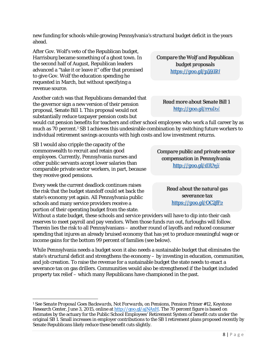new funding for schools while growing Pennsylvania's structural budget deficit in the years ahead.

After Gov. Wolf's veto of the Republican budget, Harrisburg became something of a ghost town. In the second half of August, Republican leaders advanced a "take it or leave it" offer that promised to give Gov. Wolf the education spending he requested in March, but without specifying a revenue source.

Another catch was that Republicans demanded that the governor sign a new version of their pension proposal, Senate Bill 1. This proposal would not substantially reduce taxpayer pension costs but

*Compare the Wolf and Republican budget proposals https://goo.gl/p591Rl* 

*Read more about Senate Bill 1 http://goo.gl/rruJoi* 

would cut pension benefits for teachers and other school employees who work a full career by as much as 70 percent.<sup>1</sup> SB 1 achieves this undesirable combination by switching future workers to individual retirement savings accounts with high costs and low investment returns.

SB 1 would also cripple the capacity of the commonwealth to recruit and retain good employees. Currently, Pennsylvania nurses and other public servants accept lower salaries than comparable private sector workers, in part, because they receive good pensions.

Every week the current deadlock continues raises the risk that the budget standoff could set back the state's economy yet again. All Pennsylvania public schools and many service providers receive a portion of their operating budget from the state.

*Compare public and private sector compensation in Pennsylvania http://goo.gl/d1Uvji* 

> *Read about the natural gas severance tax https://goo.gl/OC2fF2*

Without a state budget, these schools and service providers will have to dip into their cash reserves to meet payroll and pay vendors. When those funds run out, furloughs will follow. Therein lies the risk to all Pennsylvanians – another round of layoffs and reduced consumer spending that injures an already bruised economy that has yet to produce meaningful wage or income gains for the bottom 99 percent of families (see below).

While Pennsylvania needs a budget soon it also needs a sustainable budget that eliminates the state's structural deficit and strengthens the economy – by investing in education, communities, and job creation. To raise the revenue for a sustainable budget the state needs to enact a severance tax on gas drillers. Communities would also be strengthened if the budget included property tax relief – which many Republicans have championed in the past.

 1 See *Senate Proposal Goes Backwards, Not Forwards, on Pensions*, Pension Primer #12, Keystone Research Center, June 3, 2015, online at http://goo.gl/ajNAxH. The 70 percent figure is based on estimates by the actuary for the Public School Employees' Retirement System of benefit cuts under the original SB 1. Small increases in employer contributions to the SB 1 retirement plans proposed recently by Senate Republicans likely reduce these benefit cuts slightly.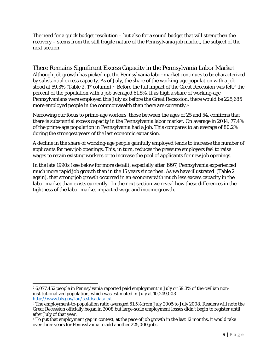The need for a quick budget resolution – but also for a sound budget that will strengthen the recovery – stems from the still fragile nature of the Pennsylvania job market, the subject of the next section.

There Remains Significant Excess Capacity in the Pennsylvania Labor Market Although job growth has picked up, the Pennsylvania labor market continues to be characterized by substantial excess capacity. As of July, the share of the working-age population with a job stood at 59.3% (Table 2, 1<sup>st</sup> column).<sup>2</sup> Before the full impact of the Great Recession was felt,<sup>3</sup> the percent of the population with a job averaged 61.5%. If as high a share of working-age Pennsylvanians were employed this July as before the Great Recession, there would be 225,685 more employed people in the commonwealth than there are currently.4

Narrowing our focus to prime-age workers, those between the ages of 25 and 54, confirms that there is substantial excess capacity in the Pennsylvania labor market. On average in 2014, 77.4% of the prime-age population in Pennsylvania had a job. This compares to an average of 80.2% during the strongest years of the last economic expansion.

A decline in the share of working-age people gainfully employed tends to increase the number of applicants for new job openings. This, in turn, reduces the pressure employers feel to raise wages to retain existing workers or to increase the pool of applicants for new job openings.

In the late 1990s (see below for more detail), especially after 1997, Pennsylvania experienced much more rapid job growth than in the 15 years since then. As we have illustrated (Table 2 again), that strong job growth occurred in an economy with much less excess capacity in the labor market than exists currently. In the next section we reveal how these differences in the tightness of the labor market impacted wage and income growth.

 2 6,077,452 people in Pennsylvania reported paid employment in July or 59.3% of the civilian noninstitutionalized population, which was estimated in July at 10,249,003

http://www.bls.gov/lau/ststdsadata.txt<br><sup>3</sup> The employment-to-population ratio averaged 61.5% from July 2005 to July 2008. Readers will note the Great Recession officially began in 2008 but large-scale employment losses didn't begin to register until after July of that year.

<sup>4</sup> To put that employment gap in context, at the pace of job growth in the last 12 months, it would take over three years for Pennsylvania to add another 225,000 jobs.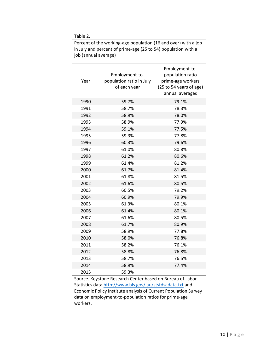Table 2.

| Year | Employment-to-<br>population ratio in July<br>of each year | Employment-to-<br>population ratio<br>prime-age workers<br>(25 to 54 years of age)<br>annual averages |
|------|------------------------------------------------------------|-------------------------------------------------------------------------------------------------------|
| 1990 | 59.7%                                                      | 79.1%                                                                                                 |
| 1991 | 58.7%                                                      | 78.3%                                                                                                 |
| 1992 | 58.9%                                                      | 78.0%                                                                                                 |
| 1993 | 58.9%                                                      | 77.9%                                                                                                 |
| 1994 | 59.1%                                                      | 77.5%                                                                                                 |
| 1995 | 59.3%                                                      | 77.8%                                                                                                 |
| 1996 | 60.3%                                                      | 79.6%                                                                                                 |
| 1997 | 61.0%                                                      | 80.8%                                                                                                 |
| 1998 | 61.2%                                                      | 80.6%                                                                                                 |
| 1999 | 61.4%                                                      | 81.2%                                                                                                 |
| 2000 | 61.7%                                                      | 81.4%                                                                                                 |
| 2001 | 61.8%                                                      | 81.5%                                                                                                 |
| 2002 | 61.6%                                                      | 80.5%                                                                                                 |
| 2003 | 60.5%                                                      | 79.2%                                                                                                 |
| 2004 | 60.9%                                                      | 79.9%                                                                                                 |
| 2005 | 61.3%                                                      | 80.1%                                                                                                 |
| 2006 | 61.4%                                                      | 80.1%                                                                                                 |
| 2007 | 61.6%                                                      | 80.5%                                                                                                 |
| 2008 | 61.7%                                                      | 80.9%                                                                                                 |
| 2009 | 58.9%                                                      | 77.8%                                                                                                 |
| 2010 | 58.0%                                                      | 76.8%                                                                                                 |
| 2011 | 58.2%                                                      | 76.1%                                                                                                 |
| 2012 | 58.8%                                                      | 76.8%                                                                                                 |
| 2013 | 58.7%                                                      | 76.5%                                                                                                 |
| 2014 | 58.9%                                                      | 77.4%                                                                                                 |
| 2015 | 59.3%                                                      |                                                                                                       |

Percent of the working-age population (16 and over) with a job in July and percent of prime‐age (25 to 54) population with a job (annual average)

Source. Keystone Research Center based on Bureau of Labor Statistics data http://www.bls.gov/lau/ststdsadata.txt and Economic Policy Institute analysis of Current Population Survey data on employment‐to‐population ratios for prime‐age workers.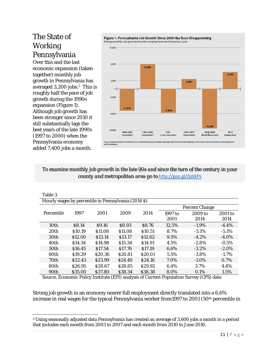## The State of Working Pennsylvania

Over this and the last economic expansion (taken together) monthly job growth in Pennsylvania has averaged 3,200 jobs.<sup>5</sup> This is roughly half the pace of job growth during the 1990s expansion (Figure 1). Although job growth has been stronger since 2010 it still substantially lags the best years of the late 1990s (1997 to 2000) when the Pennsylvania economy added 7,400 jobs a month.



*To examine monthly job growth in the late 90s and since the turn of the century in your county and metropolitan area go to* http://goo.gl/QdJkFS

| Table 3.                                             |                    |                    |                    |                    |                       |                   |                 |
|------------------------------------------------------|--------------------|--------------------|--------------------|--------------------|-----------------------|-------------------|-----------------|
| Hourly wages by percentile in Pennsylvania (2014 \$) |                    |                    |                    |                    |                       |                   |                 |
|                                                      |                    |                    |                    |                    | <b>Percent Change</b> |                   |                 |
| Percentile                                           | 1997               | 2001               | 2009               | 2014               | 1997 to<br>2001       | $2009$ to<br>2014 | 2001 to<br>2014 |
| 10th                                                 | S8.14              | \$9.16             | \$8.93             | \$8.76             | 12.5%                 | $-1.9\%$          | $-4.4%$         |
| 20 <sub>th</sub>                                     | \$10.19            | \$11.08            | \$11.08            | \$10.51            | 8.7%                  | $-5.1\%$          | $-5.1\%$        |
| 30 <sub>th</sub>                                     | \$12.00            | \$13.14            | S <sub>13.17</sub> | \$12.62            | $9.5\%$               | $-4.2\%$          | $-4.0\%$        |
| 40th                                                 | \$14.34            | \$14.98            | \$15.34            | \$14.91            | 4.5%                  | $-2.8%$           | $-0.5\%$        |
| 50th                                                 | \$16.45            | \$17.54            | S <sub>17.76</sub> | S <sub>17.19</sub> | 6.6%                  | $-3.2\%$          | $-2.0\%$        |
| 60th                                                 | \$19.29            | \$20.36            | \$20.81            | \$20.01            | 5.5%                  | $-3.8\%$          | $-1.7%$         |
| 70 <sub>th</sub>                                     | S <sub>22.43</sub> | \$23.99            | \$24.40            | S <sub>24.16</sub> | 7.0%                  | $-1.0\%$          | 0.7%            |
| 80th                                                 | S <sub>26.95</sub> | S <sub>28.67</sub> | \$28.85            | \$29.92            | 6.4%                  | 3.7%              | 4.4%            |
| 90th                                                 | \$35.00            | \$37.80            | \$38.34            | \$38.38            | 8.0%                  | 0.1%              | 1.5%            |

Source. Economic Policy Institute (EPI) analysis of Current Population Survey (CPS) data

Strong job growth in an economy nearer full employment directly translated into a 6.6% increase in real wages for the typical Pennsylvania worker from1997 to 2001 (50<sup>th</sup> percentile in

<sup>5</sup> Using seasonally adjusted data Pennsylvania has created an average of 3,600 jobs a month in a period that includes each month from 2003 to 2007 and each month from 2010 to June 2016.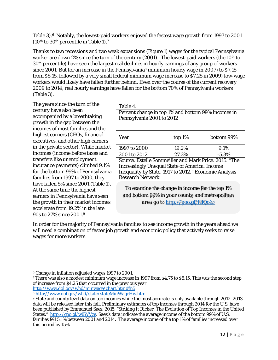Table 3).<sup>6</sup> Notably, the lowest-paid workers enjoyed the fastest wage growth from 1997 to 2001 (10<sup>th</sup> to 30<sup>th</sup> percentile in Table 1).<sup>7</sup>

Thanks to two recessions and two weak expansions (Figure 1) wages for the typical Pennsylvania worker are down 2% since the turn of the century (2001). The lowest-paid workers (the 10<sup>th</sup> to 30th percentile) have seen the largest real declines in hourly earnings of any group of workers since 2001. But for an increase in the Pennsylvania<sup>8</sup> minimum hourly wage in 2007 (to \$7.15 from \$5.15, followed by a very small federal minimum wage increase to \$7.25 in 2009) low-wage workers would likely have fallen further behind. Even over the course of the current recovery 2009 to 2014, real hourly earnings have fallen for the bottom 70% of Pennsylvania workers (Table 3).

The years since the turn of the century have also been accompanied by a breathtaking growth in the gap between the incomes of most families and the highest earners (CEOs, financial executives, and other high earners in the private sector). While market incomes (income before taxes and transfers like unemployment insurance payments) climbed 9.1% for the bottom 99% of Pennsylvania families from 1997 to 2000, they have fallen 5% since 2001 (Table 1). At the same time the highest earners in Pennsylvania have seen the growth in their market incomes accelerate from 19.2% in the late 90s to 27% since 2001.9

Table 4.

Percent change in top 1% and bottom 99% incomes in Pennsylvania 2001 to 2012

| Year                                                | top $1\%$ | bottom 99% |
|-----------------------------------------------------|-----------|------------|
| 1997 to 2000                                        | 19.2%     | $9.1\%$    |
| 2001 to 2012                                        | 27.2%     | $-5.3\%$   |
| $C = \Gamma$ , il $C = \Gamma$ il interior context. |           |            |

Source. Estelle Sommeiller and Mark Price. 2015. "The Increasingly Unequal State of America: Income Inequality by State, 1917 to 2012." Economic Analysis Research Network.

*To examine the change in income for the top 1% and bottom 99% in your county and metropolitan area go to http://goo.gl/HlQc42*

In order for the majority of Pennsylvania families to see income growth in the years ahead we will need a combination of faster job growth and economic policy that actively seeks to raise wages for more workers.

 6 Change in inflation adjusted wages 1997 to 2001.

<sup>7</sup> There was also a modest minimum wage increase in 1997 from \$4.75 to \$5.15. This was the second step of increase from \$4.25 that occurred in the previous year http://www.dol.gov/whd/minwage/chart.htm#fn5

 $\frac{1}{8} \frac{http://www.dol.gov/whd/state/stateMinWageHis.htm}{\frac{1}{8} \frac{1}{100}}$ <br>State and county level data on top incomes while the most accurate is only available through 2012. 2013 data will be released later this fall. Preliminary estimates of top incomes through 2014 for the U.S. have been published by Emmanuel Saez. 2015. "Striking It Richer: The Evolution of Top Incomes in the United States." http://goo.gl/w8WVze. Saez's data indicate the average income of the bottom 99% of U.S. families fell 5.1% between 2001 and 2014. The average income of the top 1% of families increased over this period by 15%.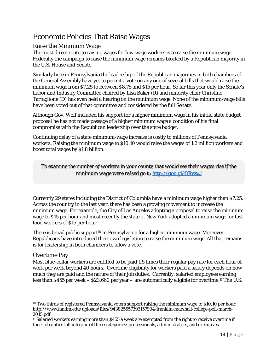# Economic Policies That Raise Wages

#### Raise the Minimum Wage

The most direct route to raising wages for low-wage workers is to raise the minimum wage. Federally the campaign to raise the minimum wage remains blocked by a Republican majority in the U.S. House and Senate.

Similarly here in Pennsylvania the leadership of the Republican majorities in both chambers of the General Assembly have yet to permit a vote on any one of several bills that would raise the minimum wage from \$7.25 to between \$8.75 and \$15 per hour. So far this year only the Senate's Labor and Industry Committee chaired by Lisa Baker (R) and minority chair Christine Tartaglione (D) has even held a hearing on the minimum wage. None of the minimum-wage bills have been voted out of that committee and considered by the full Senate.

Although Gov. Wolf included his support for a higher minimum wage in his initial state budget proposal he has not made passage of a higher minimum wage a condition of his final compromise with the Republican leadership over the state budget.

Continuing delay of a state minimum-wage increase is costly to millions of Pennsylvania workers. Raising the minimum wage to \$10.10 would raise the wages of 1.2 million workers and boost total wages by \$1.8 billion.

*To examine the number of workers in your county that would see their wages rise if the minimum wage were raised go to http://goo.gl/ORvzvJ* 

Currently 29 states including the District of Columbia have a minimum wage higher than \$7.25. Across the country in the last year, there has been a growing movement to increase the minimum wage. For example, the City of Los Angeles adopting a proposal to raise the minimum wage to \$15 per hour and most recently the state of New York adopted a minimum wage for fast food workers of \$15 per hour.

There is broad public support<sup>10</sup> in Pennsylvania for a higher minimum wage. Moreover, Republicans have introduced their own legislation to raise the minimum wage. All that remains is for leadership in both chambers to allow a vote.

#### Overtime Pay

Most blue-collar workers are entitled to be paid 1.5 times their regular pay rate for each hour of work per week beyond 40 hours. Overtime eligibility for workers paid a salary depends on how much they are paid and the nature of their job duties. Currently, salaried employees earning less than \$455 per week – \$23,660 per year – are automatically eligible for overtime.11 The U.S.

 <sup>10</sup> Two thirds of registered Pennsylvania voters support raising the minimum wage to \$10.10 per hour. http://www.fandm.edu/uploads/files/943825657393157904-franklin-marshall-college-poll-march-2015.pdf

<sup>11</sup> Salaried workers earning more than \$455 a week are exempted from the right to receive overtime if their job duties fall into one of three categories: professionals, administrators, and executives.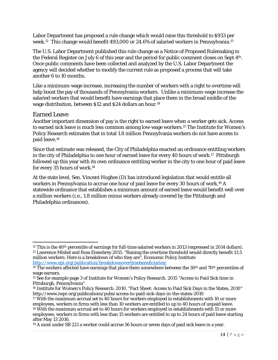Labor Department has proposed a rule change which would raise this threshold to \$933 per week.12 This change would benefit 493,000 or 24.6% of salaried workers in Pennsylvania.13

The U.S. Labor Department published this rule change as a Notice of Proposed Rulemaking in the Federal Register on July 6 of this year and the period for public comment closes on Sept 4th. Once public comments have been collected and analyzed by the U.S. Labor Department the agency will decided whether to modify the current rule as proposed a process that will take another 6 to 10 months.

Like a minimum-wage increase, increasing the number of workers with a right to overtime will help boost the pay of thousands of Pennsylvania workers. Unlike a minimum-wage increase the salaried workers that would benefit have earnings that place them in the broad middle of the wage distribution, between \$12 and \$24 dollars an hour.14

#### Earned Leave

Another important dimension of pay is the right to earned leave when a worker gets sick. Access to earned sick leave is much less common among low-wage workers.15 The Institute for Women's Policy Research estimates that in total 1.8 million Pennsylvania workers do not have access to paid leave.16

Since that estimate was released, the City of Philadelphia enacted an ordinance entitling workers in the city of Philadelphia to one hour of earned leave for every 40 hours of work.17 Pittsburgh followed up this year with its own ordinance entitling worker in the city to one hour of paid leave for every 35 hours of work.18

At the state level, Sen. Vincent Hughes (D) has introduced legislation that would entitle all workers in Pennsylvania to accrue one hour of paid leave for every 30 hours of work.19 A statewide ordinance that establishes a minimum amount of earned leave would benefit well over a million workers (i.e., 1.8 million minus workers already covered by the Pittsburgh and Philadelphia ordinances).

<sup>&</sup>lt;sup>12</sup> This is the 40<sup>th</sup> percentile of earnings for full-time salaried workers in 2013 (expressed in 2014 dollars). <sup>13</sup> Lawrence Mishel and Ross Eisenbrey 2015. "Raising the overtime threshold would directly benefit 13.5 million workers: Here is a breakdown of who they are", Economic Policy Institute http://www.epi.org/publication/breakdownovertimebeneficiaries/

<sup>&</sup>lt;sup>14</sup> The workers affected have earnings that place them somewhere between the  $30<sup>th</sup>$  and  $70<sup>th</sup>$  percentiles of wage earners.

<sup>15</sup> See for example page 3 of Institute for Women's Policy Research. 2015 "Access to Paid Sick time in Pittsburgh, Pennsylvania"

<sup>16</sup> Institute for Women's Policy Research. 2010. "Fact Sheet: Access to Paid Sick Days in the States, 2010" http://www.iwpr.org/publications/pubs/access-to-paid-sick-days-in-the-states-2010

<sup>17</sup> With the maximum accrual set to 40 hours for workers employed in establishments with 10 or more employees, workers in firms with less than 10 workers are entitled to up to 40 hours of unpaid leave. 18 With the maximum accrual set to 40 hours for workers employed in establishments with 15 or more

employees, workers in firms with less than 15 workers are entitled to up to 24 hours of paid leave starting after May 13 2016.

<sup>19</sup> A most under SB 221 a worker could accrue 56 hours or seven days of paid sick leave in a year.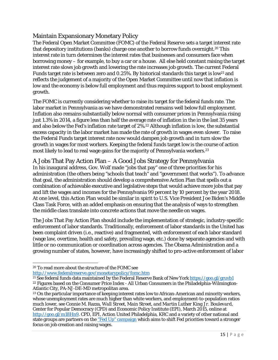#### Maintain Expansionary Monetary Policy

The Federal Open Market Committee (FOMC) of the Federal Reserve sets a target interest rate that depository institutions (banks) charge one another to borrow funds overnight.<sup>20</sup> This interest rate in turn determines the interest rates that businesses and consumers face when borrowing money – for example, to buy a car or a house. All else held constant raising the target interest rate slows job growth and lowering the rate increases job growth. The current Federal Funds target rate is between zero and 0.25%. By historical standards this target is low<sup>21</sup> and reflects the judgement of a majority of the Open Market Committee until now that inflation is low and the economy is below full employment and thus requires support to boost employment growth.

The FOMC is currently considering whether to raise its target for the federal funds rate. The labor market in Pennsylvania as we have demonstrated remains well below full employment. Inflation also remains substantially below normal with consumer prices in Pennsylvania rising just 1.3% in 2014, a figure less than half the average rate of inflation in the in the last 35 years and also below the Fed's inflation rate target of 2%.22 Although inflation is low, the substantial excess capacity in the labor market has made the rate of growth in wages even slower. To raise the Federal Funds target interest rate now would dampen job growth and in turn slow the growth in wages for most workers. Keeping the federal funds target low is the course of action most likely to lead to real wage gains for the majority of Pennsylvania workers.<sup>23</sup>

### A Jobs That Pay Action Plan – A Good Jobs Strategy for Pennsylvania

In his inaugural address, Gov. Wolf made "jobs that pay" one of three priorities for his administration (the others being "schools that teach" and "government that works"). To advance that goal, the administration should develop a comprehensive Action Plan that spells out a combination of achievable executive and legislative steps that would achieve more jobs that pay and lift the wages and incomes for the Pennsylvania 99 percent by 10 percent by the year 2018. At one level, this Action Plan would be similar in spirit to U.S. Vice President Joe Biden's Middle Class Task Force, with an added emphasis on ensuring that the analysis of ways to strengthen the middle class translate into concrete actions that move the needle on wages.

The Jobs That Pay Action Plan should include the implementation of strategic, industry-specific enforcement of labor standards. Traditionally, enforcement of labor standards in the United has been complaint driven (i.e., reactive) and fragmented, with enforcement of each labor standard (wage law, overtime, health and safety, prevailing wage, etc.) done by separate agencies and with little or no communication or coordination across agencies. The Obama Administration and a growing number of states, however, have increasingly shifted to pro-active enforcement of labor

 20 To read more about the structure of the FOMC see

http://www.federalreserve.gov/monetarypolicy/fomc.htm<br><sup>21</sup> See federal funds data maintained by the Federal Reserve Bank of New York <u>https://goo.gl/gruvb1</u><br><sup>22</sup> Figures based on the Consumer Price Index - All Urban Consum

Atlantic City, PA-NJ-DE-MD metropolitan area.

<sup>23</sup> On the particular importance of keeping interest rates low to African-American and minority workers, whose unemployment rates are much higher than white workers, and employment-to-population ratios much lower, see Connie M. Razza, *Wall Street, Main Street, and Martin Luther King Jr. Boulevard*, Center for Popular Democracy (CPD) and Economic Policy Institute (EPI), March 2015, online at http://goo.gl/m18Hn9. CPD, EPI, Action United Philadelphia, KRC and a variety of other national and state groups are partners on the "Fed Up" campaign which aims to shift Fed priorities toward a stronger focus on job creation and raising wages.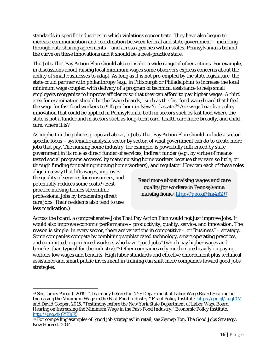standards in specific industries in which violations concentrate. They have also begun to increase communication and coordination between federal and state government – including through data sharing agreements – and across agencies within states. Pennsylvania is behind the curve on these innovations and it should be a best-practice state.

The Jobs That Pay Action Plan should also consider a wide range of other actions. For example, in discussions about raising local minimum wages some observers express concerns about the ability of small businesses to adapt. As long as it is not pre-empted by the state legislature, the state could partner with philanthropy (e.g., in Pittsburgh or Philadelphia) to increase the local minimum wage *coupled with* delivery of a program of technical assistance to help small employers reorganize to improve efficiency so that they can afford to pay higher wages. A third area for examination should be the "wage boards," such as the fast food wage board that lifted the wage for fast food workers to \$15 per hour in New York state.<sup>24</sup> Are wage boards a policy innovation that could be applied in Pennsylvania, both in sectors such as fast food where the state is not a funder and in sectors such as long-term care, health care more broadly, and child care, where it is?

As implicit in the policies proposed above, a Jobs That Pay Action Plan should include a sectorspecific focus – systematic analysis, sector by sector, of what government can do to create more jobs that pay. The nursing home industry, for example, is powerfully influenced by state government in its role as direct funder of services, indirect funder (e.g., by virtue of meanstested social programs accessed by many nursing home workers because they earn so little, or through funding for training nursing home workers), and regulator. How can each of these roles

align in a way that lifts wages, improves the quality of services for consumers, and potentially reduces some costs? (Bestpractice nursing homes streamline professional jobs by broadening direct care jobs. Their residents also tend to use less medication.)

*Read more about raising wages and care quality for workers in Pennsylvania nursing homes http://goo.gl/Im4BZU* 

Across the board, a comprehensive Jobs That Pay Action Plan would not just improve jobs. It would also improve economic performance – productivity, quality, service, and innovation. The reason is simple: in every sector, there are variations in competitive – or "business" – strategy. Some companies compete by combining sophisticated technology, smart operating practices, and committed, experienced workers who have "good jobs" (which pay higher wages and benefits than typical for the industry).25 Other companies rely much more heavily on paying workers low wages and benefits. High labor standards and effective enforcement plus technical assistance and smart public investment in training can shift more companies toward good jobs strategies.

<sup>&</sup>lt;sup>24</sup> See James Parrott. 2015. "Testimony before the NYS Department of Labor Wage Board Hearing on Increasing the Minimum Wage in the Fast-Food Industry." Fiscal Policy Institute. http://goo.gl/kuqt0M and David Cooper. 2015. "Testimony before the New York State Department of Labor Wage Board Hearing on Increasing the Minimum Wage in the Fast-Food Industry." Economic Policy Institute. http://goo.gl/6YKhF5 25 For compelling examples of "good job strategies" in retail, see Zeynep Ton, *The Good Jobs Strategy*,

New Harvest, 2014.